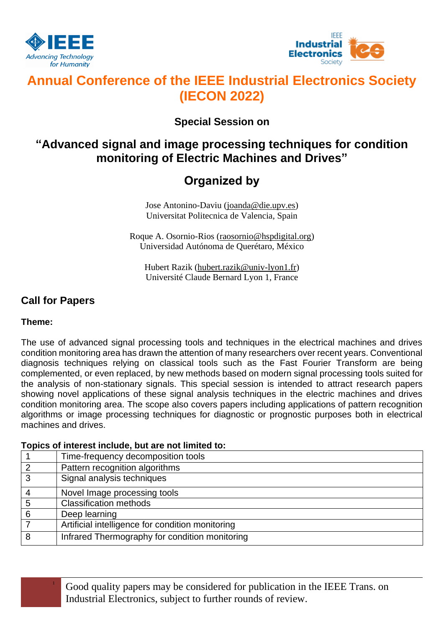



# **Annual Conference of the IEEE Industrial Electronics Society (IECON 2022)**

### **Special Session on**

## **"Advanced signal and image processing techniques for condition monitoring of Electric Machines and Drives"**

## **Organized by**

Jose Antonino-Daviu (joanda@die.upv.es) Universitat Politecnica de Valencia, Spain

Roque A. Osornio-Rios (raosornio@hspdigital.org) Universidad Autónoma de Querétaro, México

Hubert Razik [\(hubert.razik@univ-lyon1.fr\)](mailto:hubert.razik@univ-lyon1.fr) Université Claude Bernard Lyon 1, France

### **Call for Papers**

### **Theme:**

The use of advanced signal processing tools and techniques in the electrical machines and drives condition monitoring area has drawn the attention of many researchers over recent years. Conventional diagnosis techniques relying on classical tools such as the Fast Fourier Transform are being complemented, or even replaced, by new methods based on modern signal processing tools suited for the analysis of non-stationary signals. This special session is intended to attract research papers showing novel applications of these signal analysis techniques in the electric machines and drives condition monitoring area. The scope also covers papers including applications of pattern recognition algorithms or image processing techniques for diagnostic or prognostic purposes both in electrical machines and drives.

### **Topics of interest include, but are not limited to:**

| Time-frequency decomposition tools               |
|--------------------------------------------------|
| Pattern recognition algorithms                   |
| Signal analysis techniques                       |
| Novel Image processing tools                     |
| <b>Classification methods</b>                    |
| Deep learning                                    |
| Artificial intelligence for condition monitoring |
| Infrared Thermography for condition monitoring   |

<sup>1</sup> Good quality papers may be considered for publication in the IEEE Trans. on Industrial Electronics, subject to further rounds of review.